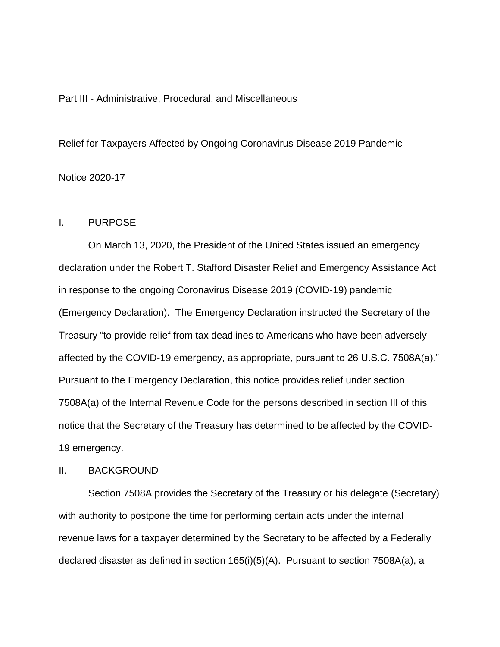## Part III - Administrative, Procedural, and Miscellaneous

Relief for Taxpayers Affected by Ongoing Coronavirus Disease 2019 Pandemic Notice 2020-17

## I. PURPOSE

On March 13, 2020, the President of the United States issued an emergency declaration under the Robert T. Stafford Disaster Relief and Emergency Assistance Act in response to the ongoing Coronavirus Disease 2019 (COVID-19) pandemic (Emergency Declaration). The Emergency Declaration instructed the Secretary of the Treasury "to provide relief from tax deadlines to Americans who have been adversely affected by the COVID-19 emergency, as appropriate, pursuant to 26 U.S.C. 7508A(a)." Pursuant to the Emergency Declaration, this notice provides relief under section 7508A(a) of the Internal Revenue Code for the persons described in section III of this notice that the Secretary of the Treasury has determined to be affected by the COVID-19 emergency.

## II. BACKGROUND

Section 7508A provides the Secretary of the Treasury or his delegate (Secretary) with authority to postpone the time for performing certain acts under the internal revenue laws for a taxpayer determined by the Secretary to be affected by a Federally declared disaster as defined in section 165(i)(5)(A). Pursuant to section 7508A(a), a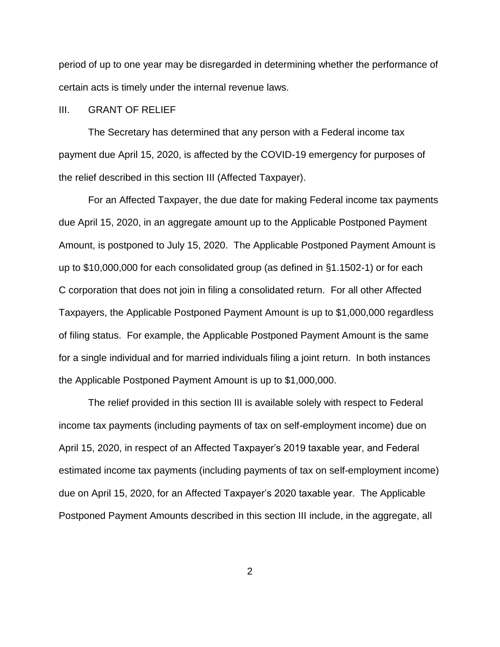period of up to one year may be disregarded in determining whether the performance of certain acts is timely under the internal revenue laws.

## III. GRANT OF RELIEF

The Secretary has determined that any person with a Federal income tax payment due April 15, 2020, is affected by the COVID-19 emergency for purposes of the relief described in this section III (Affected Taxpayer).

For an Affected Taxpayer, the due date for making Federal income tax payments due April 15, 2020, in an aggregate amount up to the Applicable Postponed Payment Amount, is postponed to July 15, 2020. The Applicable Postponed Payment Amount is up to \$10,000,000 for each consolidated group (as defined in §1.1502-1) or for each C corporation that does not join in filing a consolidated return. For all other Affected Taxpayers, the Applicable Postponed Payment Amount is up to \$1,000,000 regardless of filing status. For example, the Applicable Postponed Payment Amount is the same for a single individual and for married individuals filing a joint return. In both instances the Applicable Postponed Payment Amount is up to \$1,000,000.

The relief provided in this section III is available solely with respect to Federal income tax payments (including payments of tax on self-employment income) due on April 15, 2020, in respect of an Affected Taxpayer's 2019 taxable year, and Federal estimated income tax payments (including payments of tax on self-employment income) due on April 15, 2020, for an Affected Taxpayer's 2020 taxable year. The Applicable Postponed Payment Amounts described in this section III include, in the aggregate, all

2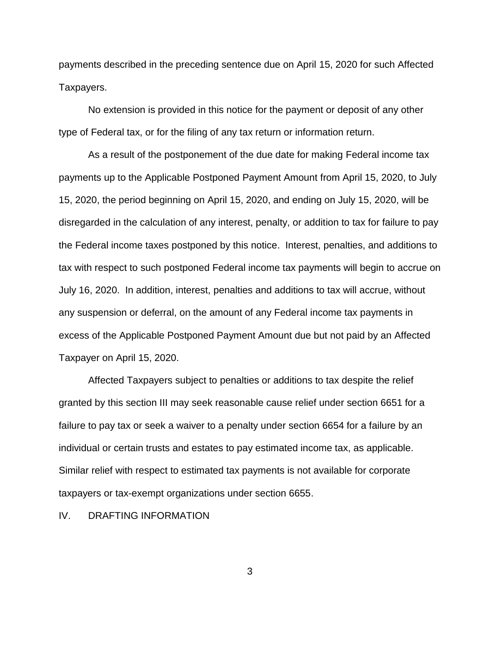payments described in the preceding sentence due on April 15, 2020 for such Affected Taxpayers.

No extension is provided in this notice for the payment or deposit of any other type of Federal tax, or for the filing of any tax return or information return.

As a result of the postponement of the due date for making Federal income tax payments up to the Applicable Postponed Payment Amount from April 15, 2020, to July 15, 2020, the period beginning on April 15, 2020, and ending on July 15, 2020, will be disregarded in the calculation of any interest, penalty, or addition to tax for failure to pay the Federal income taxes postponed by this notice. Interest, penalties, and additions to tax with respect to such postponed Federal income tax payments will begin to accrue on July 16, 2020. In addition, interest, penalties and additions to tax will accrue, without any suspension or deferral, on the amount of any Federal income tax payments in excess of the Applicable Postponed Payment Amount due but not paid by an Affected Taxpayer on April 15, 2020.

Affected Taxpayers subject to penalties or additions to tax despite the relief granted by this section III may seek reasonable cause relief under section 6651 for a failure to pay tax or seek a waiver to a penalty under section 6654 for a failure by an individual or certain trusts and estates to pay estimated income tax, as applicable. Similar relief with respect to estimated tax payments is not available for corporate taxpayers or tax-exempt organizations under section 6655.

IV. DRAFTING INFORMATION

3